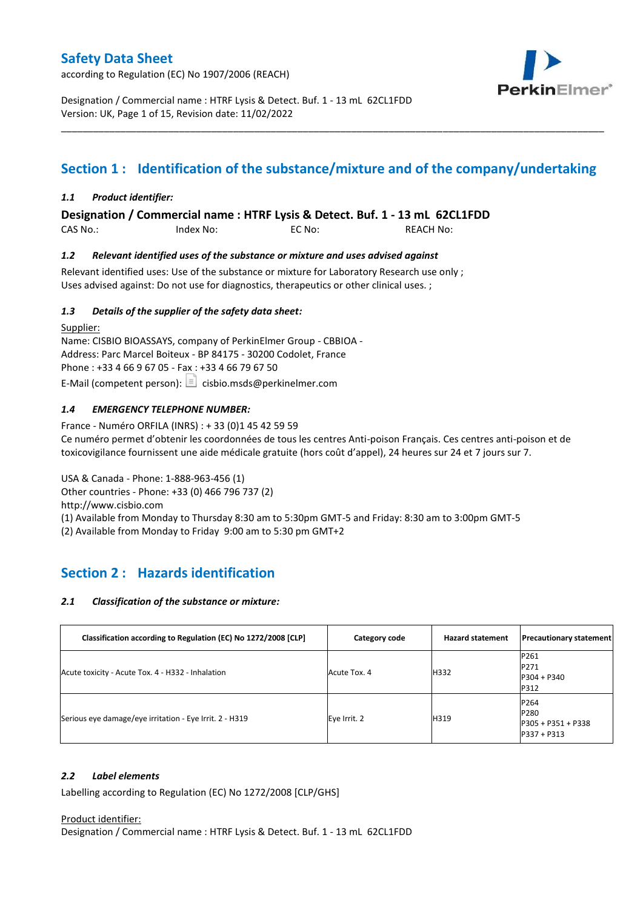according to Regulation (EC) No 1907/2006 (REACH)



Designation / Commercial name : HTRF Lysis & Detect. Buf. 1 - 13 mL 62CL1FDD Version: UK, Page 1 of 15, Revision date: 11/02/2022

# **Section 1 : Identification of the substance/mixture and of the company/undertaking**

\_\_\_\_\_\_\_\_\_\_\_\_\_\_\_\_\_\_\_\_\_\_\_\_\_\_\_\_\_\_\_\_\_\_\_\_\_\_\_\_\_\_\_\_\_\_\_\_\_\_\_\_\_\_\_\_\_\_\_\_\_\_\_\_\_\_\_\_\_\_\_\_\_\_\_\_\_\_\_\_\_\_\_\_\_\_\_\_\_\_\_\_\_\_\_\_\_\_\_\_\_

### *1.1 Product identifier:*

**Designation / Commercial name : HTRF Lysis & Detect. Buf. 1 - 13 mL 62CL1FDD** 

CAS No.: Index No: EC No: REACH No:

### *1.2 Relevant identified uses of the substance or mixture and uses advised against*

Relevant identified uses: Use of the substance or mixture for Laboratory Research use only ; Uses advised against: Do not use for diagnostics, therapeutics or other clinical uses. ;

### *1.3 Details of the supplier of the safety data sheet:*

Supplier: Name: CISBIO BIOASSAYS, company of PerkinElmer Group - CBBIOA - Address: Parc Marcel Boiteux - BP 84175 - 30200 Codolet, France Phone : +33 4 66 9 67 05 - Fax : +33 4 66 79 67 50 E-Mail (competent person):  $\boxed{\equiv}$  cisbio.msds@perkinelmer.com

### *1.4 EMERGENCY TELEPHONE NUMBER:*

France - Numéro ORFILA (INRS) : + 33 (0)1 45 42 59 59 Ce numéro permet d'obtenir les coordonnées de tous les centres Anti-poison Français. Ces centres anti-poison et de toxicovigilance fournissent une aide médicale gratuite (hors coût d'appel), 24 heures sur 24 et 7 jours sur 7.

USA & Canada - Phone: 1-888-963-456 (1)

Other countries - Phone: +33 (0) 466 796 737 (2)

http://www.cisbio.com

(1) Available from Monday to Thursday 8:30 am to 5:30pm GMT-5 and Friday: 8:30 am to 3:00pm GMT-5

(2) Available from Monday to Friday 9:00 am to 5:30 pm GMT+2

## **Section 2 : Hazards identification**

#### *2.1 Classification of the substance or mixture:*

| Classification according to Regulation (EC) No 1272/2008 [CLP] | Category code | <b>Hazard statement</b> | <b>Precautionary statement</b>                      |
|----------------------------------------------------------------|---------------|-------------------------|-----------------------------------------------------|
| Acute toxicity - Acute Tox. 4 - H332 - Inhalation              | Acute Tox. 4  | H332                    | P261<br>P271<br>$P304 + P340$<br>P312               |
| Serious eye damage/eye irritation - Eye Irrit. 2 - H319        | Eye Irrit. 2  | H319                    | P264<br>P280<br>P305 + P351 + P338<br>$P337 + P313$ |

#### *2.2 Label elements*

Labelling according to Regulation (EC) No 1272/2008 [CLP/GHS]

#### Product identifier:

Designation / Commercial name : HTRF Lysis & Detect. Buf. 1 - 13 mL 62CL1FDD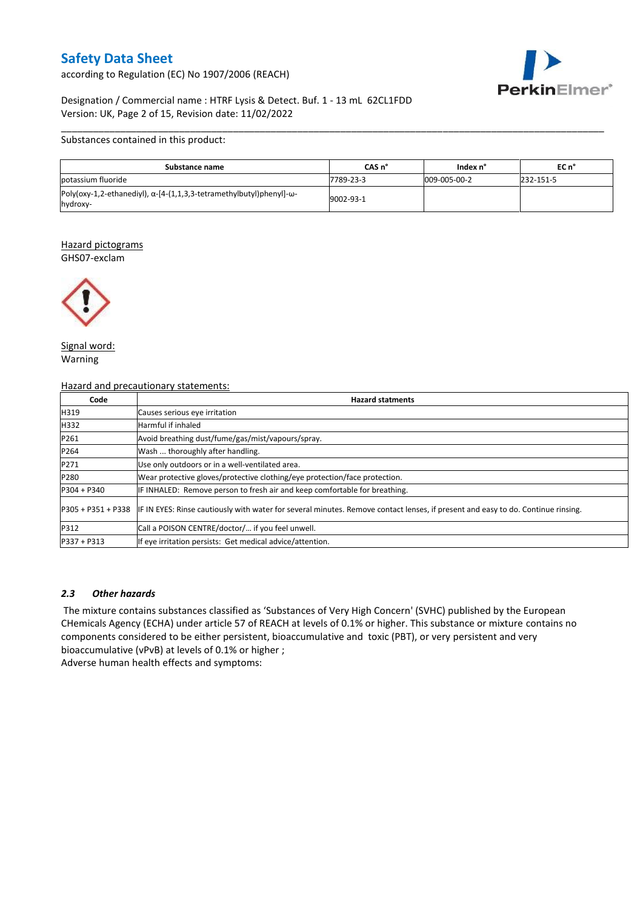according to Regulation (EC) No 1907/2006 (REACH)



### Designation / Commercial name : HTRF Lysis & Detect. Buf. 1 - 13 mL 62CL1FDD Version: UK, Page 2 of 15, Revision date: 11/02/2022

#### Substances contained in this product:

| Substance name                                                                                   | CAS n°    | Index n°     | EC n°     |
|--------------------------------------------------------------------------------------------------|-----------|--------------|-----------|
| potassium fluoride                                                                               | 7789-23-3 | 009-005-00-2 | 232-151-5 |
| Poly(oxy-1,2-ethanediyl), $\alpha$ -[4-(1,1,3,3-tetramethylbutyl)phenyl]- $\omega$ -<br>hydroxy- | 9002-93-1 |              |           |

\_\_\_\_\_\_\_\_\_\_\_\_\_\_\_\_\_\_\_\_\_\_\_\_\_\_\_\_\_\_\_\_\_\_\_\_\_\_\_\_\_\_\_\_\_\_\_\_\_\_\_\_\_\_\_\_\_\_\_\_\_\_\_\_\_\_\_\_\_\_\_\_\_\_\_\_\_\_\_\_\_\_\_\_\_\_\_\_\_\_\_\_\_\_\_\_\_\_\_\_\_

#### Hazard pictograms GHS07-exclam



Signal word: Warning

#### Hazard and precautionary statements:

| Code          | <b>Hazard statments</b>                                                                                                                             |
|---------------|-----------------------------------------------------------------------------------------------------------------------------------------------------|
| H319          | Causes serious eye irritation                                                                                                                       |
| H332          | Harmful if inhaled                                                                                                                                  |
| P261          | Avoid breathing dust/fume/gas/mist/vapours/spray.                                                                                                   |
| P264          | Wash  thoroughly after handling.                                                                                                                    |
| P271          | Use only outdoors or in a well-ventilated area.                                                                                                     |
| P280          | Wear protective gloves/protective clothing/eye protection/face protection.                                                                          |
| $P304 + P340$ | IF INHALED: Remove person to fresh air and keep comfortable for breathing.                                                                          |
|               | P305 + P351 + P338 IF IN EYES: Rinse cautiously with water for several minutes. Remove contact lenses, if present and easy to do. Continue rinsing. |
| P312          | Call a POISON CENTRE/doctor/ if you feel unwell.                                                                                                    |
| P337 + P313   | If eye irritation persists: Get medical advice/attention.                                                                                           |

#### *2.3 Other hazards*

The mixture contains substances classified as 'Substances of Very High Concern' (SVHC) published by the European CHemicals Agency (ECHA) under article 57 of REACH at levels of 0.1% or higher. This substance or mixture contains no components considered to be either persistent, bioaccumulative and toxic (PBT), or very persistent and very bioaccumulative (vPvB) at levels of 0.1% or higher ;

Adverse human health effects and symptoms: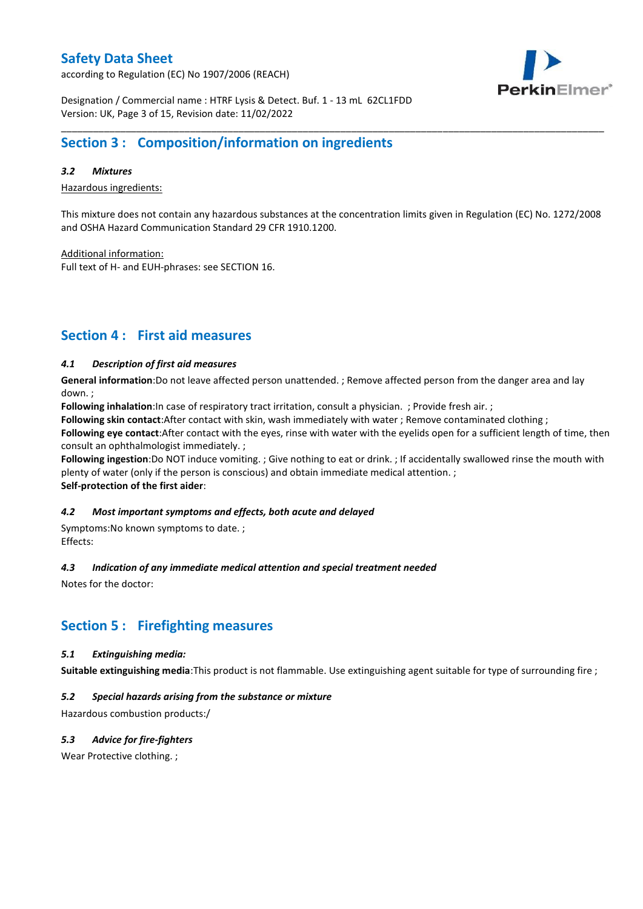according to Regulation (EC) No 1907/2006 (REACH)



Designation / Commercial name : HTRF Lysis & Detect. Buf. 1 - 13 mL 62CL1FDD Version: UK, Page 3 of 15, Revision date: 11/02/2022

## **Section 3 : Composition/information on ingredients**

#### *3.2 Mixtures*

Hazardous ingredients:

This mixture does not contain any hazardous substances at the concentration limits given in Regulation (EC) No. 1272/2008 and OSHA Hazard Communication Standard 29 CFR 1910.1200.

\_\_\_\_\_\_\_\_\_\_\_\_\_\_\_\_\_\_\_\_\_\_\_\_\_\_\_\_\_\_\_\_\_\_\_\_\_\_\_\_\_\_\_\_\_\_\_\_\_\_\_\_\_\_\_\_\_\_\_\_\_\_\_\_\_\_\_\_\_\_\_\_\_\_\_\_\_\_\_\_\_\_\_\_\_\_\_\_\_\_\_\_\_\_\_\_\_\_\_\_\_

Additional information:

Full text of H- and EUH-phrases: see SECTION 16.

## **Section 4 : First aid measures**

### *4.1 Description of first aid measures*

**General information**:Do not leave affected person unattended. ; Remove affected person from the danger area and lay down. ;

**Following inhalation**:In case of respiratory tract irritation, consult a physician. ; Provide fresh air. ;

**Following skin contact**:After contact with skin, wash immediately with water ; Remove contaminated clothing ;

**Following eye contact**:After contact with the eyes, rinse with water with the eyelids open for a sufficient length of time, then consult an ophthalmologist immediately. ;

**Following ingestion**:Do NOT induce vomiting. ; Give nothing to eat or drink. ; If accidentally swallowed rinse the mouth with plenty of water (only if the person is conscious) and obtain immediate medical attention. ; **Self-protection of the first aider**:

#### *4.2 Most important symptoms and effects, both acute and delayed*

Symptoms:No known symptoms to date. ; Effects:

#### *4.3 Indication of any immediate medical attention and special treatment needed*

Notes for the doctor:

## **Section 5 : Firefighting measures**

#### *5.1 Extinguishing media:*

**Suitable extinguishing media**:This product is not flammable. Use extinguishing agent suitable for type of surrounding fire ;

### *5.2 Special hazards arising from the substance or mixture*

Hazardous combustion products:/

### *5.3 Advice for fire-fighters*

Wear Protective clothing.;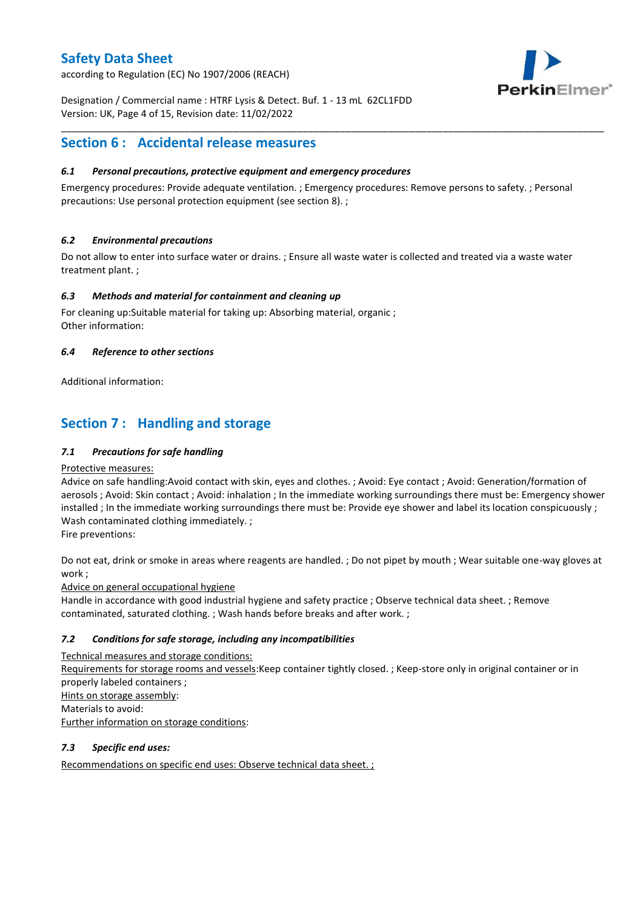according to Regulation (EC) No 1907/2006 (REACH)



Designation / Commercial name : HTRF Lysis & Detect. Buf. 1 - 13 mL 62CL1FDD Version: UK, Page 4 of 15, Revision date: 11/02/2022

## **Section 6 : Accidental release measures**

### *6.1 Personal precautions, protective equipment and emergency procedures*

Emergency procedures: Provide adequate ventilation. ; Emergency procedures: Remove persons to safety. ; Personal precautions: Use personal protection equipment (see section 8). ;

\_\_\_\_\_\_\_\_\_\_\_\_\_\_\_\_\_\_\_\_\_\_\_\_\_\_\_\_\_\_\_\_\_\_\_\_\_\_\_\_\_\_\_\_\_\_\_\_\_\_\_\_\_\_\_\_\_\_\_\_\_\_\_\_\_\_\_\_\_\_\_\_\_\_\_\_\_\_\_\_\_\_\_\_\_\_\_\_\_\_\_\_\_\_\_\_\_\_\_\_\_

### *6.2 Environmental precautions*

Do not allow to enter into surface water or drains. ; Ensure all waste water is collected and treated via a waste water treatment plant. ;

### *6.3 Methods and material for containment and cleaning up*

For cleaning up:Suitable material for taking up: Absorbing material, organic ; Other information:

### *6.4 Reference to other sections*

Additional information:

## **Section 7 : Handling and storage**

### *7.1 Precautions for safe handling*

#### Protective measures:

Advice on safe handling:Avoid contact with skin, eyes and clothes. ; Avoid: Eye contact ; Avoid: Generation/formation of aerosols ; Avoid: Skin contact ; Avoid: inhalation ; In the immediate working surroundings there must be: Emergency shower installed ; In the immediate working surroundings there must be: Provide eye shower and label its location conspicuously ; Wash contaminated clothing immediately. ;

Fire preventions:

Do not eat, drink or smoke in areas where reagents are handled. ; Do not pipet by mouth ; Wear suitable one-way gloves at work ;

Advice on general occupational hygiene

Handle in accordance with good industrial hygiene and safety practice ; Observe technical data sheet. ; Remove contaminated, saturated clothing. ; Wash hands before breaks and after work. ;

### *7.2 Conditions for safe storage, including any incompatibilities*

Technical measures and storage conditions: Requirements for storage rooms and vessels:Keep container tightly closed. ; Keep-store only in original container or in properly labeled containers ; Hints on storage assembly: Materials to avoid: Further information on storage conditions:

### *7.3 Specific end uses:*

Recommendations on specific end uses: Observe technical data sheet. ;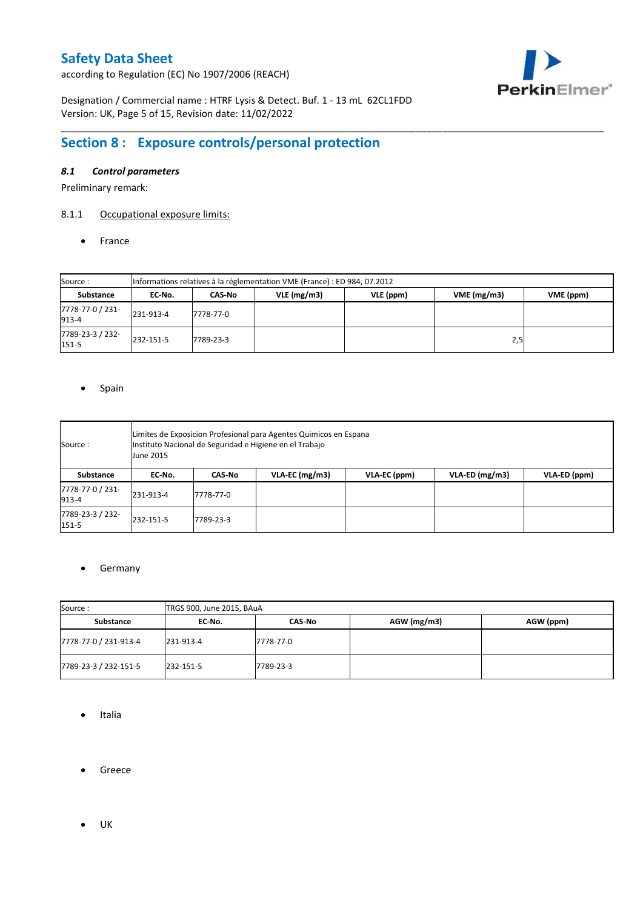according to Regulation (EC) No 1907/2006 (REACH)



Designation / Commercial name : HTRF Lysis & Detect. Buf. 1 - 13 mL 62CL1FDD Version: UK, Page 5 of 15, Revision date: 11/02/2022

# **Section 8 : Exposure controls/personal protection**

### *8.1 Control parameters*

Preliminary remark:

## 8.1.1 Occupational exposure limits:

• France

| Source:                   | Informations relatives à la réglementation VME (France) : ED 984, 07.2012 |                                                                 |  |  |     |  |  |  |  |
|---------------------------|---------------------------------------------------------------------------|-----------------------------------------------------------------|--|--|-----|--|--|--|--|
| Substance                 | EC No.                                                                    | VME(mg/m3)<br>$VLE$ (mg/m3)<br>VLE (ppm)<br>VME (ppm)<br>CAS-No |  |  |     |  |  |  |  |
| 7778-77-0 / 231-<br>913-4 | 231-913-4                                                                 | 7778-77-0                                                       |  |  |     |  |  |  |  |
| 7789-23-3 / 232-<br>151-5 | 232-151-5                                                                 | 7789-23-3                                                       |  |  | 2,5 |  |  |  |  |

\_\_\_\_\_\_\_\_\_\_\_\_\_\_\_\_\_\_\_\_\_\_\_\_\_\_\_\_\_\_\_\_\_\_\_\_\_\_\_\_\_\_\_\_\_\_\_\_\_\_\_\_\_\_\_\_\_\_\_\_\_\_\_\_\_\_\_\_\_\_\_\_\_\_\_\_\_\_\_\_\_\_\_\_\_\_\_\_\_\_\_\_\_\_\_\_\_\_\_\_\_

#### • Spain

| Source :                      | Limites de Exposicion Profesional para Agentes Quimicos en Espana<br>Instituto Nacional de Seguridad e Higiene en el Trabajo<br>June 2015 |                                                                               |  |  |  |  |  |  |  |  |
|-------------------------------|-------------------------------------------------------------------------------------------------------------------------------------------|-------------------------------------------------------------------------------|--|--|--|--|--|--|--|--|
| Substance                     | EC-No.                                                                                                                                    | VLA-ED (mg/m3)<br>$VLA$ -EC (mg/m3)<br>VLA-ED (ppm)<br>VLA-EC (ppm)<br>CAS-No |  |  |  |  |  |  |  |  |
| 7778-77-0 / 231-<br>913-4     | 231-913-4                                                                                                                                 | 7778-77-0                                                                     |  |  |  |  |  |  |  |  |
| 7789-23-3 / 232-<br>$151 - 5$ | 232-151-5<br>7789-23-3                                                                                                                    |                                                                               |  |  |  |  |  |  |  |  |

#### **•** Germany

| Source:               | TRGS 900, June 2015, BAuA |           |             |           |  |  |  |
|-----------------------|---------------------------|-----------|-------------|-----------|--|--|--|
| Substance             | CAS-No<br>EC No.          |           | AGW (mg/m3) | AGW (ppm) |  |  |  |
| 7778-77-0 / 231-913-4 | 231-913-4                 | 7778-77-0 |             |           |  |  |  |
| 7789-23-3 / 232-151-5 | 232-151-5                 | 7789-23-3 |             |           |  |  |  |

- Italia
- **•** Greece
- $\bullet$  UK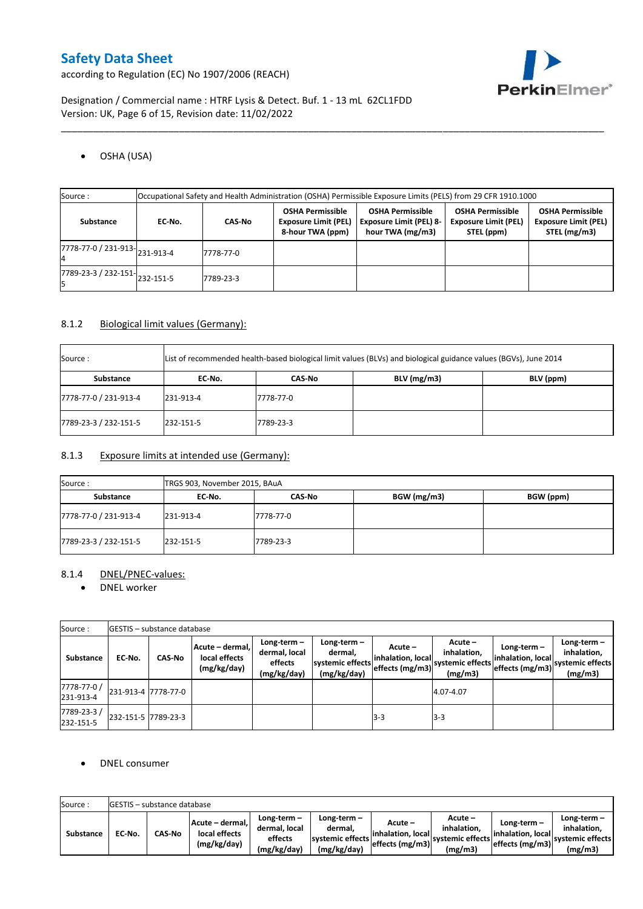PerkinElmer®

according to Regulation (EC) No 1907/2006 (REACH)

Designation / Commercial name : HTRF Lysis & Detect. Buf. 1 - 13 mL 62CL1FDD Version: UK, Page 6 of 15, Revision date: 11/02/2022

## OSHA (USA)

| Source :                      |        | Occupational Safety and Health Administration (OSHA) Permissible Exposure Limits (PELS) from 29 CFR 1910.1000 |                                                                            |                                                                               |                                                                      |                                                                        |  |  |  |
|-------------------------------|--------|---------------------------------------------------------------------------------------------------------------|----------------------------------------------------------------------------|-------------------------------------------------------------------------------|----------------------------------------------------------------------|------------------------------------------------------------------------|--|--|--|
| Substance                     | EC-No. | <b>CAS No</b>                                                                                                 | <b>OSHA Permissible</b><br><b>Exposure Limit (PEL)</b><br>8-hour TWA (ppm) | <b>OSHA Permissible</b><br><b>Exposure Limit (PEL) 8-</b><br>hour TWA (mg/m3) | <b>OSHA Permissible</b><br><b>Exposure Limit (PEL)</b><br>STEL (ppm) | <b>OSHA Permissible</b><br><b>Exposure Limit (PEL)</b><br>STEL (mg/m3) |  |  |  |
| 7778-77-0 / 231-913-231-913-4 |        | 7778-77-0                                                                                                     |                                                                            |                                                                               |                                                                      |                                                                        |  |  |  |
| 7789-23-3 / 232-151-232-151-5 |        | 7789-23-3                                                                                                     |                                                                            |                                                                               |                                                                      |                                                                        |  |  |  |

\_\_\_\_\_\_\_\_\_\_\_\_\_\_\_\_\_\_\_\_\_\_\_\_\_\_\_\_\_\_\_\_\_\_\_\_\_\_\_\_\_\_\_\_\_\_\_\_\_\_\_\_\_\_\_\_\_\_\_\_\_\_\_\_\_\_\_\_\_\_\_\_\_\_\_\_\_\_\_\_\_\_\_\_\_\_\_\_\_\_\_\_\_\_\_\_\_\_\_\_\_

### 8.1.2 Biological limit values (Germany):

| Source:               |           |           | List of recommended health-based biological limit values (BLVs) and biological guidance values (BGVs), June 2014 |           |
|-----------------------|-----------|-----------|------------------------------------------------------------------------------------------------------------------|-----------|
| Substance             | EC No.    | CAS No    | $BLV$ (mg/m3)                                                                                                    | BLV (ppm) |
| 7778-77-0 / 231-913-4 | 231-913-4 | 7778-77-0 |                                                                                                                  |           |
| 7789-23-3 / 232-151-5 | 232-151-5 | 7789-23-3 |                                                                                                                  |           |

### 8.1.3 Exposure limits at intended use (Germany):

| Source:               | TRGS 903, November 2015, BAuA |           |             |           |  |  |  |
|-----------------------|-------------------------------|-----------|-------------|-----------|--|--|--|
| Substance             | EC-No.                        | CAS-No    | BGW (mg/m3) | BGW (ppm) |  |  |  |
| 7778-77-0 / 231-913-4 | 231-913-4                     | 7778-77-0 |             |           |  |  |  |
| 7789-23-3 / 232-151-5 | 232-151-5                     | 7789-23-3 |             |           |  |  |  |

### 8.1.4 DNEL/PNEC-values:

• DNEL worker

| Source:                  |                     | <b>IGESTIS – substance database</b> |                                                 |                                                          |                                                           |                                                 |                                                         |                                                     |                                                             |
|--------------------------|---------------------|-------------------------------------|-------------------------------------------------|----------------------------------------------------------|-----------------------------------------------------------|-------------------------------------------------|---------------------------------------------------------|-----------------------------------------------------|-------------------------------------------------------------|
| Substance                | EC-No.              | <b>CAS No</b>                       | Acute - dermal,<br>local effects<br>(mg/kg/day) | Long-term $-$<br>dermal, local<br>effects<br>(mg/kg/day) | Long-term -<br>dermal.<br>systemic effects<br>(mg/kg/day) | Acute –<br>inhalation, local<br>effects (mg/m3) | $Acute -$<br>inhalation,<br>systemic effects<br>(mg/m3) | Long-term -<br>inhalation, local<br>effects (mg/m3) | Long-term $-$<br>inhalation,<br>systemic effects<br>(mg/m3) |
| 7778-77-0 /<br>231-913-4 | 231-913-4 7778-77-0 |                                     |                                                 |                                                          |                                                           |                                                 | 4.07-4.07                                               |                                                     |                                                             |
| 7789-23-3/<br>232-151-5  | 232-151-5 7789-23-3 |                                     |                                                 |                                                          |                                                           | l3-3                                            | $3-3$                                                   |                                                     |                                                             |

### DNEL consumer

| Source:          |        | GESTIS - substance database |                                                 |                                                          |                                                             |                                |                                                                                      |                                                      |                                                           |
|------------------|--------|-----------------------------|-------------------------------------------------|----------------------------------------------------------|-------------------------------------------------------------|--------------------------------|--------------------------------------------------------------------------------------|------------------------------------------------------|-----------------------------------------------------------|
| <b>Substance</b> | EC No. | <b>CAS-No</b>               | Acute - dermal,<br>local effects<br>(mg/kg/day) | $Lone-term -$<br>dermal. local<br>effects<br>(mg/kg/day) | Long-term $-$<br>dermal.<br>systemic effects<br>(mg/kg/day) | Acute –<br>linhalation. locall | Acute -<br>inhalation.<br>----- effects (mg/m3) systemic effects   ______<br>(mg/m3) | Long-term –<br>linhalation. local<br>effects (mg/m3) | Long-term –<br>inhalation.<br>systemic effects<br>(mg/m3) |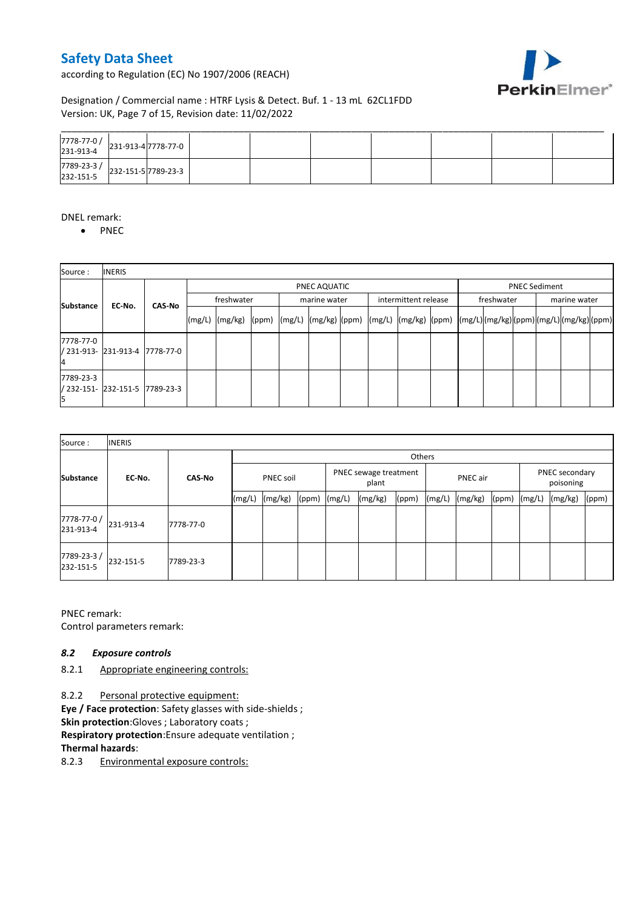according to Regulation (EC) No 1907/2006 (REACH)



## Designation / Commercial name : HTRF Lysis & Detect. Buf. 1 - 13 mL 62CL1FDD Version: UK, Page 7 of 15, Revision date: 11/02/2022

| 7778-77-0 / 231-913-4 7778-77-0                                                                                                                                                                                                                                                                     |  |  |  |  |  |
|-----------------------------------------------------------------------------------------------------------------------------------------------------------------------------------------------------------------------------------------------------------------------------------------------------|--|--|--|--|--|
| $\left.\begin{array}{c c} 7789 - 23 - 3 / & 232 - 151 - 5 \end{array}\right  232 - 151 - 5 \begin{array}{ c c c } 7789 - 23 - 3 & 5125 & 5125 & 5125 & 5125 & 5125 & 5125 & 5125 & 5125 & 5125 & 5125 & 5125 & 5125 & 5125 & 5125 & 5125 & 5125 & 5125 & 5125 & 5125 & 5125 & 5125 & 5125 & 5125 &$ |  |  |  |  |  |

#### DNEL remark:

• PNEC

| Source:          | <b>INERIS</b>                  |               |            |                 |  |  |              |  |  |                                                                                                                                                                                                                                      |  |            |                      |              |  |  |  |
|------------------|--------------------------------|---------------|------------|-----------------|--|--|--------------|--|--|--------------------------------------------------------------------------------------------------------------------------------------------------------------------------------------------------------------------------------------|--|------------|----------------------|--------------|--|--|--|
|                  |                                |               |            | PNEC AQUATIC    |  |  |              |  |  |                                                                                                                                                                                                                                      |  |            | <b>PNEC Sediment</b> |              |  |  |  |
| <b>Substance</b> | EC-No.                         | <b>CAS-No</b> | freshwater |                 |  |  | marine water |  |  | intermittent release                                                                                                                                                                                                                 |  | freshwater |                      | marine water |  |  |  |
|                  |                                |               | (mg/L)     | $(mg/kg)$ (ppm) |  |  |              |  |  | $\left  \frac{m g}{L} \right  \frac{m g}{k g}$ $\left  \frac{m g}{L} \right  \frac{m g}{L}$ $\left  \frac{m g}{k g} \right  \frac{m g}{L}$ $\left  \frac{m g}{L} \right  \frac{m g}{L}$ $\left  \frac{m g}{L} \right  \frac{m g}{L}$ |  |            |                      |              |  |  |  |
| 7778-77-0        | / 231-913- 231-913-4 7778-77-0 |               |            |                 |  |  |              |  |  |                                                                                                                                                                                                                                      |  |            |                      |              |  |  |  |
| 7789-23-3        | / 232-151- 232-151-5 7789-23-3 |               |            |                 |  |  |              |  |  |                                                                                                                                                                                                                                      |  |            |                      |              |  |  |  |

| Source:                 | <b>INERIS</b> |               |                  |         |       |                                |         |       |          |         |       |                             |         |       |
|-------------------------|---------------|---------------|------------------|---------|-------|--------------------------------|---------|-------|----------|---------|-------|-----------------------------|---------|-------|
|                         |               | <b>CAS-No</b> | Others           |         |       |                                |         |       |          |         |       |                             |         |       |
| <b>Substance</b>        | EC-No.        |               | <b>PNEC soil</b> |         |       | PNEC sewage treatment<br>plant |         |       | PNEC air |         |       | PNEC secondary<br>poisoning |         |       |
|                         |               |               | (mg/L)           | (mg/kg) | (ppm) | (mg/L)                         | (mg/kg) | (ppm) | (mg/L)   | (mg/kg) | (ppm) | (mg/L)                      | (mg/kg) | (ppm) |
| 7778-77-0/<br>231-913-4 | 231-913-4     | 7778-77-0     |                  |         |       |                                |         |       |          |         |       |                             |         |       |
| 7789-23-3/<br>232-151-5 | 232-151-5     | 7789-23-3     |                  |         |       |                                |         |       |          |         |       |                             |         |       |

PNEC remark: Control parameters remark:

#### *8.2 Exposure controls*

8.2.1 Appropriate engineering controls:

8.2.2 Personal protective equipment: **Eye / Face protection**: Safety glasses with side-shields ; **Skin protection:**Gloves ; Laboratory coats ; **Respiratory protection**:Ensure adequate ventilation ; **Thermal hazards**:

8.2.3 Environmental exposure controls: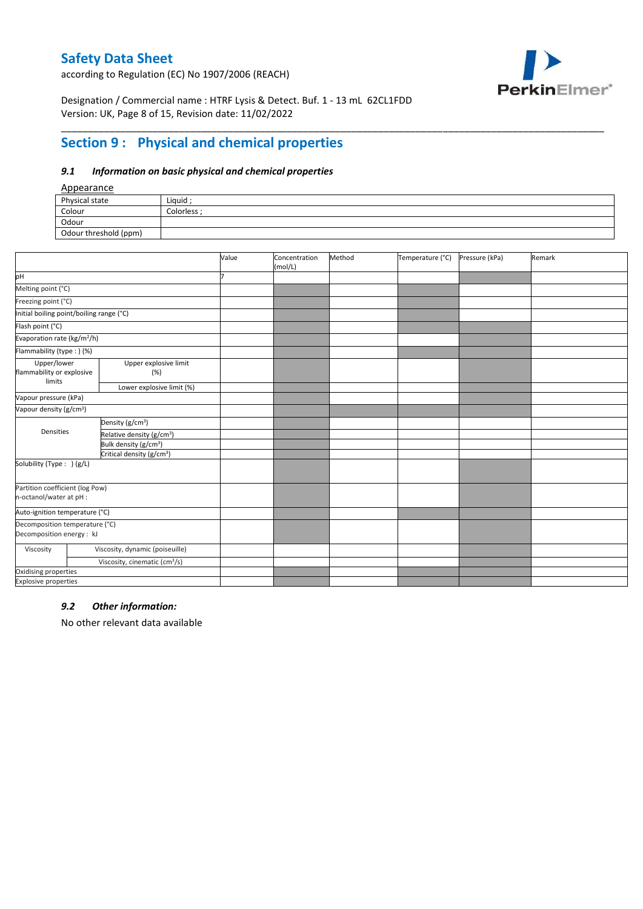according to Regulation (EC) No 1907/2006 (REACH)



Designation / Commercial name : HTRF Lysis & Detect. Buf. 1 - 13 mL 62CL1FDD Version: UK, Page 8 of 15, Revision date: 11/02/2022

# **Section 9 : Physical and chemical properties**

### *9.1 Information on basic physical and chemical properties*

### Appearance

| n                     |             |
|-----------------------|-------------|
| Physical state        | Liquid ;    |
| Colour                | Colorless : |
| Odour                 |             |
| Odour threshold (ppm) |             |

\_\_\_\_\_\_\_\_\_\_\_\_\_\_\_\_\_\_\_\_\_\_\_\_\_\_\_\_\_\_\_\_\_\_\_\_\_\_\_\_\_\_\_\_\_\_\_\_\_\_\_\_\_\_\_\_\_\_\_\_\_\_\_\_\_\_\_\_\_\_\_\_\_\_\_\_\_\_\_\_\_\_\_\_\_\_\_\_\_\_\_\_\_\_\_\_\_\_\_\_\_

|                                                             |                                           | Value | Concentration<br>(mol/L) | Method | Temperature (°C) | Pressure (kPa) | Remark |
|-------------------------------------------------------------|-------------------------------------------|-------|--------------------------|--------|------------------|----------------|--------|
| pH                                                          |                                           |       |                          |        |                  |                |        |
| Melting point (°C)                                          |                                           |       |                          |        |                  |                |        |
| Freezing point (°C)                                         |                                           |       |                          |        |                  |                |        |
| Initial boiling point/boiling range (°C)                    |                                           |       |                          |        |                  |                |        |
| Flash point (°C)                                            |                                           |       |                          |        |                  |                |        |
| Evaporation rate (kg/m <sup>2</sup> /h)                     |                                           |       |                          |        |                  |                |        |
| Flammability (type:) (%)                                    |                                           |       |                          |        |                  |                |        |
| Upper/lower<br>flammability or explosive                    | Upper explosive limit<br>(%)<br>limits    |       |                          |        |                  |                |        |
|                                                             | Lower explosive limit (%)                 |       |                          |        |                  |                |        |
| Vapour pressure (kPa)                                       |                                           |       |                          |        |                  |                |        |
| Vapour density (g/cm <sup>3</sup> )                         |                                           |       |                          |        |                  |                |        |
|                                                             | Density (g/cm <sup>3</sup> )              |       |                          |        |                  |                |        |
| Densities                                                   | Relative density (g/cm <sup>3</sup> )     |       |                          |        |                  |                |        |
|                                                             | Bulk density (g/cm <sup>3</sup> )         |       |                          |        |                  |                |        |
|                                                             | Critical density (g/cm <sup>3</sup> )     |       |                          |        |                  |                |        |
| Solubility (Type: ) (g/L)                                   |                                           |       |                          |        |                  |                |        |
| Partition coefficient (log Pow)<br>n-octanol/water at pH :  |                                           |       |                          |        |                  |                |        |
| Auto-ignition temperature (°C)                              |                                           |       |                          |        |                  |                |        |
| Decomposition temperature (°C)<br>Decomposition energy : kJ |                                           |       |                          |        |                  |                |        |
| Viscosity                                                   | Viscosity, dynamic (poiseuille)           |       |                          |        |                  |                |        |
|                                                             | Viscosity, cinematic (cm <sup>3</sup> /s) |       |                          |        |                  |                |        |
| Oxidising properties                                        |                                           |       |                          |        |                  |                |        |
| <b>Explosive properties</b>                                 |                                           |       |                          |        |                  |                |        |

#### *9.2 Other information:*

No other relevant data available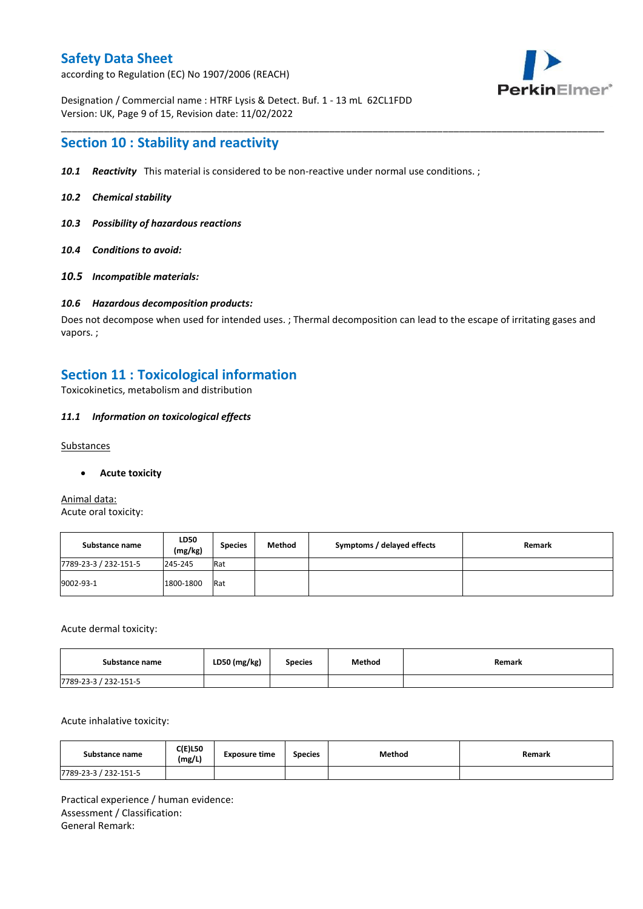according to Regulation (EC) No 1907/2006 (REACH)



Designation / Commercial name : HTRF Lysis & Detect. Buf. 1 - 13 mL 62CL1FDD Version: UK, Page 9 of 15, Revision date: 11/02/2022

## **Section 10 : Stability and reactivity**

- *10.1 Reactivity* This material is considered to be non-reactive under normal use conditions. ;
- *10.2 Chemical stability*
- *10.3 Possibility of hazardous reactions*
- *10.4 Conditions to avoid:*
- *10.5 Incompatible materials:*

#### *10.6 Hazardous decomposition products:*

Does not decompose when used for intended uses. ; Thermal decomposition can lead to the escape of irritating gases and vapors. ;

\_\_\_\_\_\_\_\_\_\_\_\_\_\_\_\_\_\_\_\_\_\_\_\_\_\_\_\_\_\_\_\_\_\_\_\_\_\_\_\_\_\_\_\_\_\_\_\_\_\_\_\_\_\_\_\_\_\_\_\_\_\_\_\_\_\_\_\_\_\_\_\_\_\_\_\_\_\_\_\_\_\_\_\_\_\_\_\_\_\_\_\_\_\_\_\_\_\_\_\_\_

## **Section 11 : Toxicological information**

Toxicokinetics, metabolism and distribution

#### *11.1 Information on toxicological effects*

### **Substances**

#### **Acute toxicity**

Animal data: Acute oral toxicity:

| Substance name        | LD50<br>(mg/kg) | <b>Species</b> | Method | Symptoms / delayed effects | Remark |
|-----------------------|-----------------|----------------|--------|----------------------------|--------|
| 7789-23-3 / 232-151-5 | 245-245         | Rat            |        |                            |        |
| 9002-93-1             | 1800-1800       | Rat            |        |                            |        |

Acute dermal toxicity:

| Substance name        | LD50 (mg/kg) | <b>Species</b> | Method | Remark |
|-----------------------|--------------|----------------|--------|--------|
| 7789-23-3 / 232-151-5 |              |                |        |        |

Acute inhalative toxicity:

| Substance name        | <b>C(E)L50</b><br>(mg/L) | <b>Exposure time</b> | <b>Species</b> | Method | Remark |
|-----------------------|--------------------------|----------------------|----------------|--------|--------|
| 7789-23-3 / 232-151-5 |                          |                      |                |        |        |

Practical experience / human evidence: Assessment / Classification: General Remark: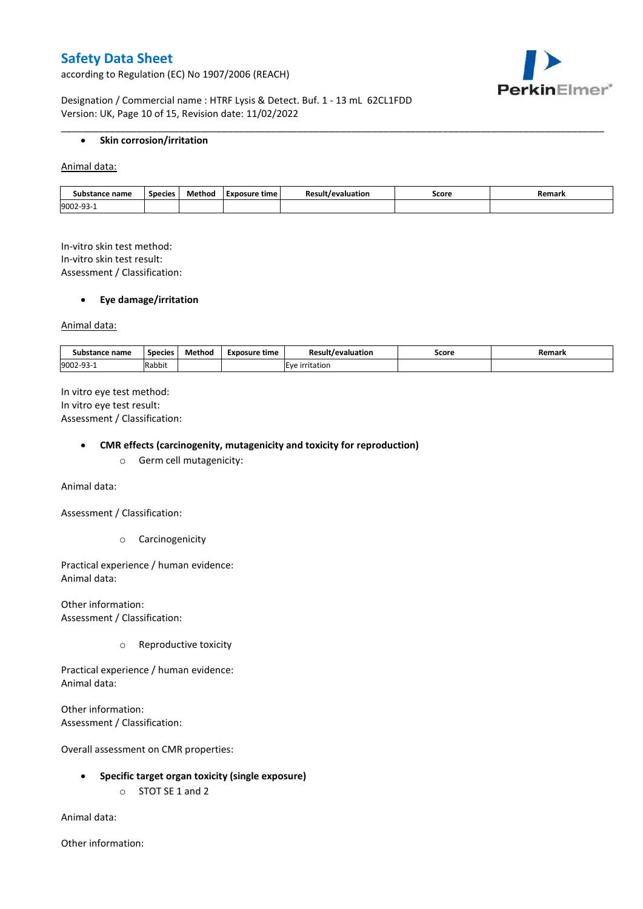according to Regulation (EC) No 1907/2006 (REACH)



Designation / Commercial name : HTRF Lysis & Detect. Buf. 1 - 13 mL 62CL1FDD Version: UK, Page 10 of 15, Revision date: 11/02/2022

### **Skin corrosion/irritation**

Animal data:

| Substance name | Species | Method | Exposure time | /evaluation | Score | Remark |
|----------------|---------|--------|---------------|-------------|-------|--------|
| 9002-93-1      |         |        |               |             |       |        |

\_\_\_\_\_\_\_\_\_\_\_\_\_\_\_\_\_\_\_\_\_\_\_\_\_\_\_\_\_\_\_\_\_\_\_\_\_\_\_\_\_\_\_\_\_\_\_\_\_\_\_\_\_\_\_\_\_\_\_\_\_\_\_\_\_\_\_\_\_\_\_\_\_\_\_\_\_\_\_\_\_\_\_\_\_\_\_\_\_\_\_\_\_\_\_\_\_\_\_\_\_

In-vitro skin test method: In-vitro skin test result: Assessment / Classification:

#### **Eye damage/irritation**

Animal data:

| : name<br>substance | <b>Species</b> | $ -$<br>Method | <b>Exposure time</b> | Result/evaluation | Score | Remark |
|---------------------|----------------|----------------|----------------------|-------------------|-------|--------|
| 9002-93-1           | .<br>Rabbit    |                |                      | irritation        |       |        |

In vitro eye test method: In vitro eye test result: Assessment / Classification:

#### **CMR effects (carcinogenity, mutagenicity and toxicity for reproduction)**

o Germ cell mutagenicity:

Animal data:

Assessment / Classification:

o Carcinogenicity

Practical experience / human evidence: Animal data:

Other information: Assessment / Classification:

o Reproductive toxicity

Practical experience / human evidence: Animal data:

Other information: Assessment / Classification:

Overall assessment on CMR properties:

- **Specific target organ toxicity (single exposure)**
	- o STOT SE 1 and 2

Animal data:

Other information: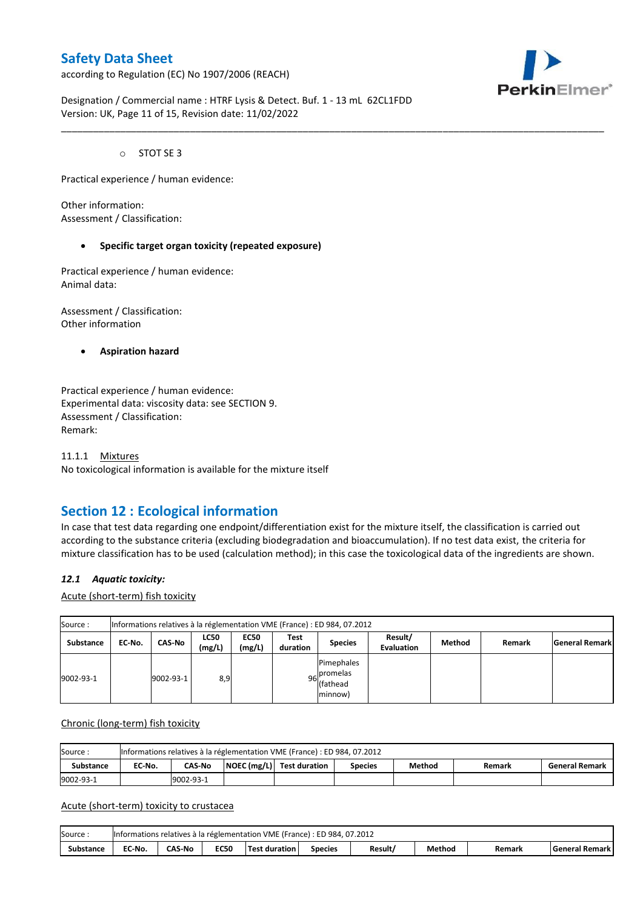according to Regulation (EC) No 1907/2006 (REACH)



Designation / Commercial name : HTRF Lysis & Detect. Buf. 1 - 13 mL 62CL1FDD Version: UK, Page 11 of 15, Revision date: 11/02/2022

o STOT SE 3

Practical experience / human evidence:

Other information: Assessment / Classification:

#### **Specific target organ toxicity (repeated exposure)**

Practical experience / human evidence: Animal data:

Assessment / Classification: Other information

**Aspiration hazard**

Practical experience / human evidence: Experimental data: viscosity data: see SECTION 9. Assessment / Classification: Remark:

11.1.1 Mixtures No toxicological information is available for the mixture itself

## **Section 12 : Ecological information**

In case that test data regarding one endpoint/differentiation exist for the mixture itself, the classification is carried out according to the substance criteria (excluding biodegradation and bioaccumulation). If no test data exist, the criteria for mixture classification has to be used (calculation method); in this case the toxicological data of the ingredients are shown.

\_\_\_\_\_\_\_\_\_\_\_\_\_\_\_\_\_\_\_\_\_\_\_\_\_\_\_\_\_\_\_\_\_\_\_\_\_\_\_\_\_\_\_\_\_\_\_\_\_\_\_\_\_\_\_\_\_\_\_\_\_\_\_\_\_\_\_\_\_\_\_\_\_\_\_\_\_\_\_\_\_\_\_\_\_\_\_\_\_\_\_\_\_\_\_\_\_\_\_\_\_

### *12.1 Aquatic toxicity:*

Acute (short-term) fish toxicity

| Source:          |        |               |                       |                       |                  | Informations relatives à la réglementation VME (France) : ED 984, 07.2012 |                              |        |        |                       |
|------------------|--------|---------------|-----------------------|-----------------------|------------------|---------------------------------------------------------------------------|------------------------------|--------|--------|-----------------------|
| <b>Substance</b> | EC-No. | <b>CAS-No</b> | <b>LC50</b><br>(mg/L) | <b>EC50</b><br>(mg/L) | Test<br>duration | <b>Species</b>                                                            | Result/<br><b>Evaluation</b> | Method | Remark | <b>General Remark</b> |
| 9002-93-1        |        | 9002-93-1     | 8,9                   |                       |                  | Pimephales<br>96 promelas<br>(fathead<br>minnow)                          |                              |        |        |                       |

#### Chronic (long-term) fish toxicity

| Source:          |        |                                                                                                    |  | Informations relatives à la réglementation VME (France) : ED 984, 07.2012 |  |  |  |  |  |  |  |  |
|------------------|--------|----------------------------------------------------------------------------------------------------|--|---------------------------------------------------------------------------|--|--|--|--|--|--|--|--|
| <b>Substance</b> | EC No. | NOEC (mg/L) Test duration<br>Method<br><b>CAS-No</b><br><b>General Remark</b><br>Remark<br>Species |  |                                                                           |  |  |  |  |  |  |  |  |
| 9002-93-1        |        | 9002-93-1                                                                                          |  |                                                                           |  |  |  |  |  |  |  |  |

#### Acute (short-term) toxicity to crustacea

| Source    |        |               |             | Informations relatives à la réglementation VME (France) : ED 984, 07.2012 |                |         |        |        |                         |
|-----------|--------|---------------|-------------|---------------------------------------------------------------------------|----------------|---------|--------|--------|-------------------------|
| Substance | EC-No. | <b>CAS-No</b> | <b>EC50</b> | <b>Test duration</b>                                                      | <b>Species</b> | Result/ | Method | Remark | <b>General Remark I</b> |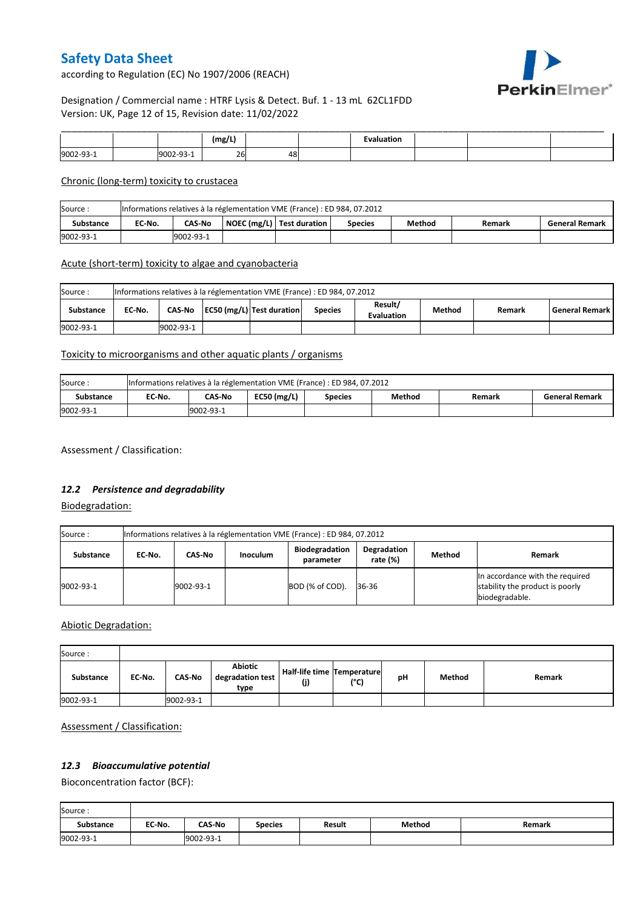PerkinElmer®

according to Regulation (EC) No 1907/2006 (REACH)

## Designation / Commercial name : HTRF Lysis & Detect. Buf. 1 - 13 mL 62CL1FDD Version: UK, Page 12 of 15, Revision date: 11/02/2022

|         |  | (mg/L) |    | uation. |  |  |
|---------|--|--------|----|---------|--|--|
| 9002-93 |  | 26     | 48 |         |  |  |

#### Chronic (long-term) toxicity to crustacea

| Source:          | Informations relatives à la réglementation VME (France) : ED 984, 07.2012 |           |  |                             |                |        |        |                       |  |
|------------------|---------------------------------------------------------------------------|-----------|--|-----------------------------|----------------|--------|--------|-----------------------|--|
| <b>Substance</b> | EC No.                                                                    | CAS-No    |  | NOEC (mg/L)   Test duration | <b>Species</b> | Method | Remark | <b>General Remark</b> |  |
| 9002-93-1        |                                                                           | 9002-93-1 |  |                             |                |        |        |                       |  |

#### Acute (short-term) toxicity to algae and cyanobacteria

| Source:          | Informations relatives à la réglementation VME (France) : ED 984, 07.2012 |           |  |                           |                |                              |               |        |                       |
|------------------|---------------------------------------------------------------------------|-----------|--|---------------------------|----------------|------------------------------|---------------|--------|-----------------------|
| <b>Substance</b> | EC No.                                                                    | CAS-No    |  | EC50 (mg/L) Test duration | <b>Species</b> | Result/<br><b>Evaluation</b> | <b>Method</b> | Remark | <b>General Remark</b> |
| 9002-93-1        |                                                                           | 9002-93-1 |  |                           |                |                              |               |        |                       |

### Toxicity to microorganisms and other aquatic plants / organisms

| Source:   | Informations relatives à la réglementation VME (France) : ED 984, 07.2012 |                                                                                 |  |  |  |  |  |  |  |
|-----------|---------------------------------------------------------------------------|---------------------------------------------------------------------------------|--|--|--|--|--|--|--|
| Substance | EC-No.                                                                    | $EC50$ (mg/L)<br>CAS-No<br>Method<br><b>General Remark</b><br>Species<br>Remark |  |  |  |  |  |  |  |
| 9002-93-1 | 9002-93-1                                                                 |                                                                                 |  |  |  |  |  |  |  |

Assessment / Classification:

## *12.2 Persistence and degradability*

Biodegradation:

| Source:   | Informations relatives à la réglementation VME (France) : ED 984, 07.2012 |           |                 |                                    |                         |        |                                                                                      |  |  |
|-----------|---------------------------------------------------------------------------|-----------|-----------------|------------------------------------|-------------------------|--------|--------------------------------------------------------------------------------------|--|--|
| Substance | EC No.                                                                    | CAS-No    | <b>Inoculum</b> | <b>Biodegradation</b><br>parameter | Degradation<br>rate (%) | Method | Remark                                                                               |  |  |
| 9002-93-1 |                                                                           | 9002-93-1 |                 | BOD (% of COD).                    | 36-36                   |        | In accordance with the required<br>stability the product is poorly<br>biodegradable. |  |  |

## Abiotic Degradation:

| Source:   |        |               |                                     |                                      |      |    |        |        |
|-----------|--------|---------------|-------------------------------------|--------------------------------------|------|----|--------|--------|
| Substance | EC-No. | <b>CAS-No</b> | Abiotic<br>degradation test<br>type | Half-life time   Temperature <br>(j) | (°C) | рH | Method | Remark |
| 9002-93-1 |        | 9002-93-1     |                                     |                                      |      |    |        |        |

### Assessment / Classification:

### *12.3 Bioaccumulative potential*

Bioconcentration factor (BCF):

| Source:          |        |               |                |        |        |        |
|------------------|--------|---------------|----------------|--------|--------|--------|
| <b>Substance</b> | EC No. | <b>CAS-No</b> | <b>Species</b> | Result | Method | Remark |
| 9002-93-1        |        | 9002-93-1     |                |        |        |        |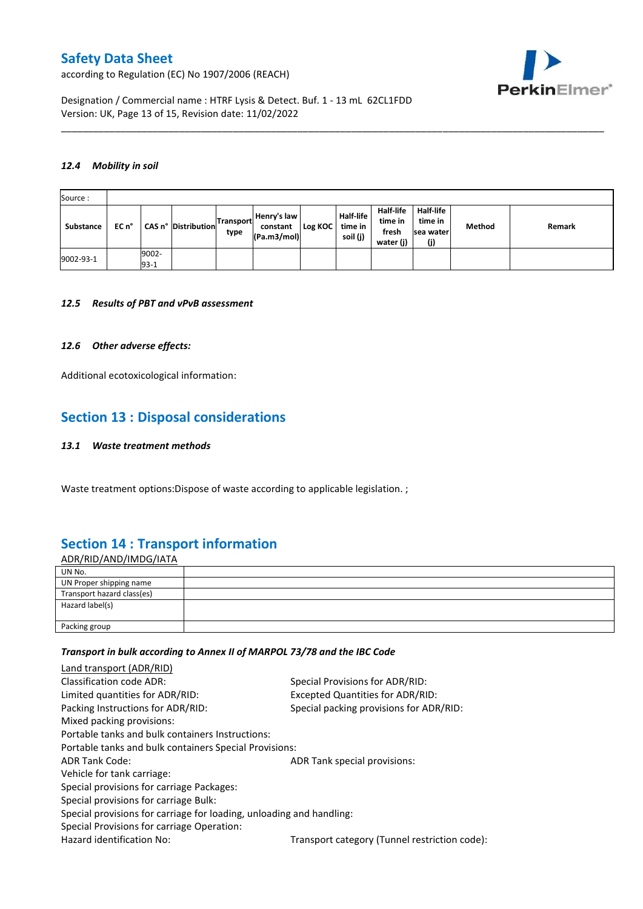according to Regulation (EC) No 1907/2006 (REACH)



Designation / Commercial name : HTRF Lysis & Detect. Buf. 1 - 13 mL 62CL1FDD Version: UK, Page 13 of 15, Revision date: 11/02/2022

#### *12.4 Mobility in soil*

| Source:   |       |                 |                     |                          |                                        |           |                                         |                                            |                                                 |        |        |
|-----------|-------|-----------------|---------------------|--------------------------|----------------------------------------|-----------|-----------------------------------------|--------------------------------------------|-------------------------------------------------|--------|--------|
| Substance | EC n° |                 | CAS n° Distribution | <b>Transport</b><br>type | Henry's law<br>constant<br>(Pa.m3/mol) | Log KOC I | <b>Half-life</b><br>time in<br>soil (j) | Half-life<br>time in<br>fresh<br>water (j) | <b>Half-life</b><br>time in<br>sea water<br>(j) | Method | Remark |
| 9002-93-1 |       | 9002-<br>$93-1$ |                     |                          |                                        |           |                                         |                                            |                                                 |        |        |

\_\_\_\_\_\_\_\_\_\_\_\_\_\_\_\_\_\_\_\_\_\_\_\_\_\_\_\_\_\_\_\_\_\_\_\_\_\_\_\_\_\_\_\_\_\_\_\_\_\_\_\_\_\_\_\_\_\_\_\_\_\_\_\_\_\_\_\_\_\_\_\_\_\_\_\_\_\_\_\_\_\_\_\_\_\_\_\_\_\_\_\_\_\_\_\_\_\_\_\_\_

#### *12.5 Results of PBT and vPvB assessment*

#### *12.6 Other adverse effects:*

Additional ecotoxicological information:

## **Section 13 : Disposal considerations**

#### *13.1 Waste treatment methods*

Waste treatment options:Dispose of waste according to applicable legislation. ;

## **Section 14 : Transport information**

ADR/RID/AND/IMDG/IATA UN No. UN Proper shipping name Transport hazard class(es) Hazard label(s) Packing group

#### *Transport in bulk according to Annex II of MARPOL 73/78 and the IBC Code*

| Land transport (ADR/RID)                                             |                                               |
|----------------------------------------------------------------------|-----------------------------------------------|
| Classification code ADR:                                             | Special Provisions for ADR/RID:               |
| Limited quantities for ADR/RID:                                      | Excepted Quantities for ADR/RID:              |
| Packing Instructions for ADR/RID:                                    | Special packing provisions for ADR/RID:       |
| Mixed packing provisions:                                            |                                               |
| Portable tanks and bulk containers Instructions:                     |                                               |
| Portable tanks and bulk containers Special Provisions:               |                                               |
| <b>ADR Tank Code:</b>                                                | ADR Tank special provisions:                  |
| Vehicle for tank carriage:                                           |                                               |
| Special provisions for carriage Packages:                            |                                               |
| Special provisions for carriage Bulk:                                |                                               |
| Special provisions for carriage for loading, unloading and handling: |                                               |
| Special Provisions for carriage Operation:                           |                                               |
| Hazard identification No:                                            | Transport category (Tunnel restriction code): |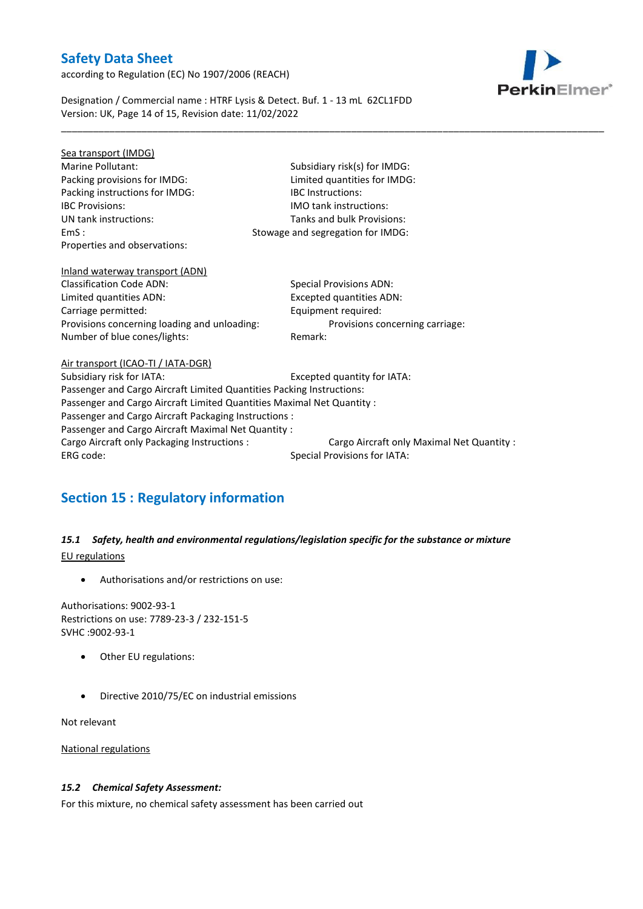according to Regulation (EC) No 1907/2006 (REACH)



Designation / Commercial name : HTRF Lysis & Detect. Buf. 1 - 13 mL 62CL1FDD Version: UK, Page 14 of 15, Revision date: 11/02/2022

| Sea transport (IMDG)                                                   |                                            |  |  |  |  |
|------------------------------------------------------------------------|--------------------------------------------|--|--|--|--|
| Marine Pollutant:                                                      | Subsidiary risk(s) for IMDG:               |  |  |  |  |
| Packing provisions for IMDG:                                           | Limited quantities for IMDG:               |  |  |  |  |
| Packing instructions for IMDG:                                         | <b>IBC</b> Instructions:                   |  |  |  |  |
| <b>IBC Provisions:</b>                                                 | <b>IMO</b> tank instructions:              |  |  |  |  |
| UN tank instructions:                                                  | Tanks and bulk Provisions:                 |  |  |  |  |
| EmS:                                                                   | Stowage and segregation for IMDG:          |  |  |  |  |
| Properties and observations:                                           |                                            |  |  |  |  |
| Inland waterway transport (ADN)                                        |                                            |  |  |  |  |
| <b>Classification Code ADN:</b>                                        | <b>Special Provisions ADN:</b>             |  |  |  |  |
| Limited quantities ADN:                                                | <b>Excepted quantities ADN:</b>            |  |  |  |  |
| Carriage permitted:                                                    | Equipment required:                        |  |  |  |  |
| Provisions concerning loading and unloading:                           | Provisions concerning carriage:            |  |  |  |  |
| Number of blue cones/lights:                                           | Remark:                                    |  |  |  |  |
| Air transport (ICAO-TI / IATA-DGR)                                     |                                            |  |  |  |  |
| Subsidiary risk for IATA:                                              | Excepted quantity for IATA:                |  |  |  |  |
| Passenger and Cargo Aircraft Limited Quantities Packing Instructions:  |                                            |  |  |  |  |
| Passenger and Cargo Aircraft Limited Quantities Maximal Net Quantity : |                                            |  |  |  |  |
| Passenger and Cargo Aircraft Packaging Instructions :                  |                                            |  |  |  |  |
| Passenger and Cargo Aircraft Maximal Net Quantity :                    |                                            |  |  |  |  |
| Cargo Aircraft only Packaging Instructions :                           | Cargo Aircraft only Maximal Net Quantity : |  |  |  |  |
| ERG code:                                                              | Special Provisions for IATA:               |  |  |  |  |
|                                                                        |                                            |  |  |  |  |

\_\_\_\_\_\_\_\_\_\_\_\_\_\_\_\_\_\_\_\_\_\_\_\_\_\_\_\_\_\_\_\_\_\_\_\_\_\_\_\_\_\_\_\_\_\_\_\_\_\_\_\_\_\_\_\_\_\_\_\_\_\_\_\_\_\_\_\_\_\_\_\_\_\_\_\_\_\_\_\_\_\_\_\_\_\_\_\_\_\_\_\_\_\_\_\_\_\_\_\_\_

# **Section 15 : Regulatory information**

## *15.1 Safety, health and environmental regulations/legislation specific for the substance or mixture* EU regulations

Authorisations and/or restrictions on use:

Authorisations: 9002-93-1 Restrictions on use: 7789-23-3 / 232-151-5 SVHC :9002-93-1

- Other EU regulations:
- Directive 2010/75/EC on industrial emissions

Not relevant

National regulations

### *15.2 Chemical Safety Assessment:*

For this mixture, no chemical safety assessment has been carried out